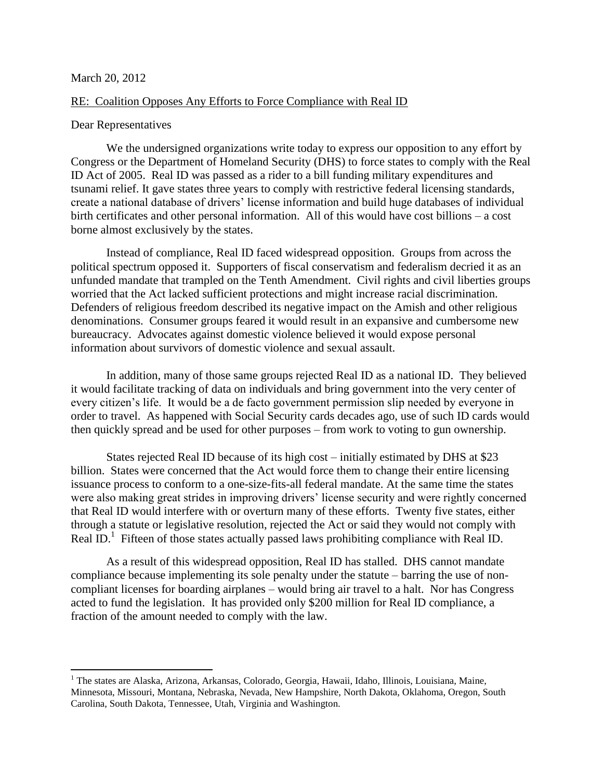## March 20, 2012

 $\overline{\phantom{a}}$ 

## RE: Coalition Opposes Any Efforts to Force Compliance with Real ID

## Dear Representatives

We the undersigned organizations write today to express our opposition to any effort by Congress or the Department of Homeland Security (DHS) to force states to comply with the Real ID Act of 2005. Real ID was passed as a rider to a bill funding military expenditures and tsunami relief. It gave states three years to comply with restrictive federal licensing standards, create a national database of drivers' license information and build huge databases of individual birth certificates and other personal information. All of this would have cost billions – a cost borne almost exclusively by the states.

Instead of compliance, Real ID faced widespread opposition. Groups from across the political spectrum opposed it. Supporters of fiscal conservatism and federalism decried it as an unfunded mandate that trampled on the Tenth Amendment. Civil rights and civil liberties groups worried that the Act lacked sufficient protections and might increase racial discrimination. Defenders of religious freedom described its negative impact on the Amish and other religious denominations. Consumer groups feared it would result in an expansive and cumbersome new bureaucracy. Advocates against domestic violence believed it would expose personal information about survivors of domestic violence and sexual assault.

In addition, many of those same groups rejected Real ID as a national ID. They believed it would facilitate tracking of data on individuals and bring government into the very center of every citizen's life. It would be a de facto government permission slip needed by everyone in order to travel. As happened with Social Security cards decades ago, use of such ID cards would then quickly spread and be used for other purposes – from work to voting to gun ownership.

States rejected Real ID because of its high cost – initially estimated by DHS at \$23 billion. States were concerned that the Act would force them to change their entire licensing issuance process to conform to a one-size-fits-all federal mandate. At the same time the states were also making great strides in improving drivers' license security and were rightly concerned that Real ID would interfere with or overturn many of these efforts. Twenty five states, either through a statute or legislative resolution, rejected the Act or said they would not comply with Real  $ID<sup>1</sup>$  Fifteen of those states actually passed laws prohibiting compliance with Real ID.

As a result of this widespread opposition, Real ID has stalled. DHS cannot mandate compliance because implementing its sole penalty under the statute – barring the use of noncompliant licenses for boarding airplanes – would bring air travel to a halt. Nor has Congress acted to fund the legislation. It has provided only \$200 million for Real ID compliance, a fraction of the amount needed to comply with the law.

<sup>&</sup>lt;sup>1</sup> The states are Alaska, Arizona, Arkansas, Colorado, Georgia, Hawaii, Idaho, Illinois, Louisiana, Maine, Minnesota, Missouri, Montana, Nebraska, Nevada, New Hampshire, North Dakota, Oklahoma, Oregon, South Carolina, South Dakota, Tennessee, Utah, Virginia and Washington.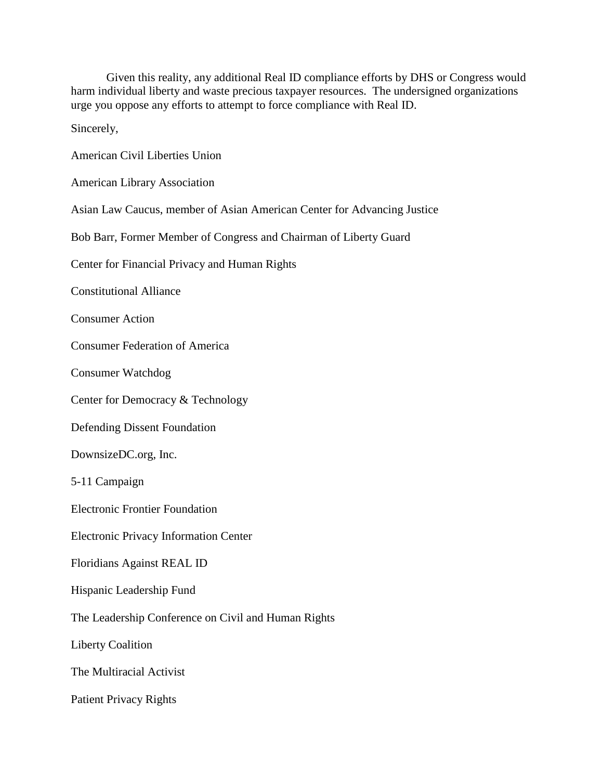| Given this reality, any additional Real ID compliance efforts by DHS or Congress would       |
|----------------------------------------------------------------------------------------------|
| harm individual liberty and waste precious taxpayer resources. The undersigned organizations |
| urge you oppose any efforts to attempt to force compliance with Real ID.                     |

Sincerely,

| <b>American Civil Liberties Union</b> |  |  |
|---------------------------------------|--|--|
|                                       |  |  |

American Library Association

Asian Law Caucus, member of Asian American Center for Advancing Justice

Bob Barr, Former Member of Congress and Chairman of Liberty Guard

Center for Financial Privacy and Human Rights

Constitutional Alliance

Consumer Action

Consumer Federation of America

Consumer Watchdog

Center for Democracy & Technology

Defending Dissent Foundation

DownsizeDC.org, Inc.

5-11 Campaign

Electronic Frontier Foundation

Electronic Privacy Information Center

Floridians Against REAL ID

Hispanic Leadership Fund

The Leadership Conference on Civil and Human Rights

Liberty Coalition

The Multiracial Activist

Patient Privacy Rights